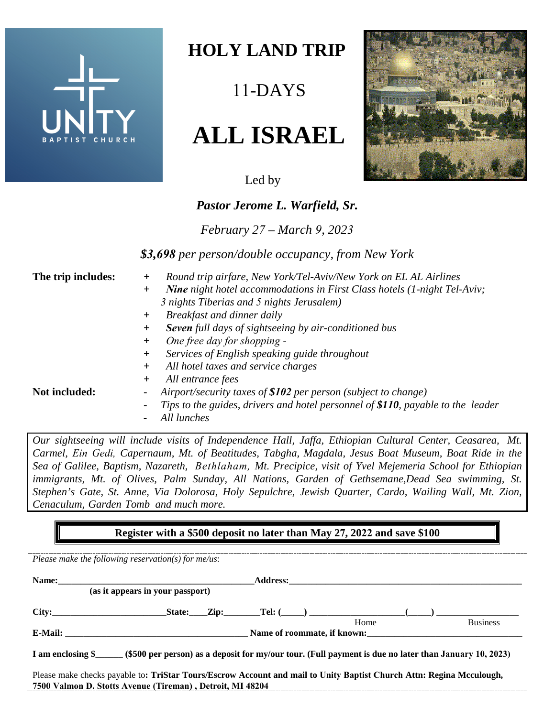

## **HOLY LAND TRIP**

11-DAYS

# **ALL ISRAEL**

Led by

### *Pastor Jerome L. Warfield, Sr.*

*February 27 – March 9, 2023*

*\$3,698 per person/double occupancy, from New York* 

- **The trip includes:** *+ Round trip airfare, New York/Tel-Aviv/New York on EL AL Airlines*
	- *+ Nine night hotel accommodations in First Class hotels (1-night Tel-Aviv; 3 nights Tiberias and 5 nights Jerusalem)*
	- *+ Breakfast and dinner daily*
	- *+ Seven full days of sightseeing by air-conditioned bus*
	- *+ One free day for shopping -*
	- *+ Services of English speaking guide throughout*
	- *+ All hotel taxes and service charges*
	- *+ All entrance fees*

- **Not included:** *- Airport/security taxes of \$102 per person (subject to change)*
	- *Tips to the guides, drivers and hotel personnel of \$110, payable to the leader*
	- *All lunches*

*Our sightseeing will include visits of Independence Hall, Jaffa, Ethiopian Cultural Center, Ceasarea, Mt. Carmel, Ein Gedi, Capernaum, Mt. of Beatitudes, Tabgha, Magdala, Jesus Boat Museum, Boat Ride in the Sea of Galilee, Baptism, Nazareth, Bethlaham, Mt. Precipice, visit of Yvel Mejemeria School for Ethiopian immigrants, Mt. of Olives, Palm Sunday, All Nations, Garden of Gethsemane,Dead Sea swimming, St. Stephen's Gate, St. Anne, Via Dolorosa, Holy Sepulchre, Jewish Quarter, Cardo, Wailing Wall, Mt. Zion, Cenaculum, Garden Tomb and much more.*

#### **Register with a \$500 deposit no later than May 27, 2022 and save \$100**

| Please make the following reservation(s) for $me/us$ :                                                                     |  |                             |                 |
|----------------------------------------------------------------------------------------------------------------------------|--|-----------------------------|-----------------|
| Name: 2008. 2008. 2010. 2010. 2010. 2010. 2010. 2010. 2010. 2010. 2010. 2010. 2010. 2010. 2010. 2010. 2010. 20             |  |                             |                 |
| (as it appears in your passport)                                                                                           |  |                             |                 |
| City:                                                                                                                      |  | State: Zip: Tel: $(\_\_)$   |                 |
|                                                                                                                            |  | Home                        | <b>Business</b> |
|                                                                                                                            |  | Name of roommate, if known: |                 |
| I am enclosing \$<br>(\$500 per person) as a deposit for my/our tour. (Full payment is due no later than January 10, 2023) |  |                             |                 |
| Please make checks payable to: TriStar Tours/Escrow Account and mail to Unity Baptist Church Attn: Regina Mcculough,       |  |                             |                 |
| 7500 Valmon D. Stotts Avenue (Tireman), Detroit, MI 48204                                                                  |  |                             |                 |